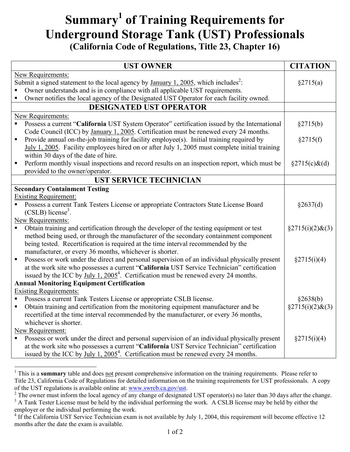## **Summary[1](#page-0-0) of Training Requirements for Underground Storage Tank (UST) Professionals (California Code of Regulations, Title 23, Chapter 16)**

|                                                                                                         | <b>UST OWNER</b>                                                                                               | <b>CITATION</b>         |  |
|---------------------------------------------------------------------------------------------------------|----------------------------------------------------------------------------------------------------------------|-------------------------|--|
| <b>New Requirements:</b>                                                                                |                                                                                                                |                         |  |
| Submit a signed statement to the local agency by <u>January 1, 2005</u> , which includes <sup>2</sup> : |                                                                                                                | §2715(a)                |  |
|                                                                                                         | Owner understands and is in compliance with all applicable UST requirements.                                   |                         |  |
|                                                                                                         | Owner notifies the local agency of the Designated UST Operator for each facility owned.                        |                         |  |
|                                                                                                         | <b>DESIGNATED UST OPERATOR</b>                                                                                 |                         |  |
| New Requirements:                                                                                       |                                                                                                                |                         |  |
|                                                                                                         | Possess a current "California UST System Operator" certification issued by the International                   | §2715(b)                |  |
|                                                                                                         | Code Council (ICC) by January 1, 2005. Certification must be renewed every 24 months.                          |                         |  |
| ٠                                                                                                       | Provide annual on-the-job training for facility employee(s). Initial training required by                      | §2715(f)                |  |
|                                                                                                         | July 1, 2005. Facility employees hired on or after July 1, 2005 must complete initial training                 |                         |  |
|                                                                                                         | within 30 days of the date of hire.                                                                            |                         |  |
| п                                                                                                       | Perform monthly visual inspections and record results on an inspection report, which must be                   | $\S 2715(c) \&(d)$      |  |
|                                                                                                         | provided to the owner/operator.                                                                                |                         |  |
|                                                                                                         | <b>UST SERVICE TECHNICIAN</b>                                                                                  |                         |  |
| <b>Secondary Containment Testing</b>                                                                    |                                                                                                                |                         |  |
| <b>Existing Requirement:</b>                                                                            |                                                                                                                |                         |  |
| П                                                                                                       | Possess a current Tank Testers License or appropriate Contractors State License Board                          | §2637(d)                |  |
|                                                                                                         | $(CSLB)$ license <sup>3</sup> .                                                                                |                         |  |
| <b>New Requirements:</b>                                                                                |                                                                                                                |                         |  |
|                                                                                                         | Obtain training and certification through the developer of the testing equipment or test                       | $\S2715(i)(2)$ &(3)     |  |
|                                                                                                         | method being used, or through the manufacturer of the secondary containment component                          |                         |  |
|                                                                                                         | being tested. Recertification is required at the time interval recommended by the                              |                         |  |
|                                                                                                         | manufacturer, or every 36 months, whichever is shorter.                                                        |                         |  |
| $\blacksquare$                                                                                          | Possess or work under the direct and personal supervision of an individual physically present                  | §2715(i)(4)             |  |
|                                                                                                         | at the work site who possesses a current "California UST Service Technician" certification                     |                         |  |
|                                                                                                         | issued by the ICC by $\underline{July 1, 2005}^4$ . Certification must be renewed every 24 months.             |                         |  |
| <b>Annual Monitoring Equipment Certification</b>                                                        |                                                                                                                |                         |  |
|                                                                                                         | <b>Existing Requirements:</b>                                                                                  |                         |  |
|                                                                                                         | Possess a current Tank Testers License or appropriate CSLB license.                                            | §2638(b)                |  |
|                                                                                                         | Obtain training and certification from the monitoring equipment manufacturer and be                            | $\S2715(i)(2)$ &(3)     |  |
|                                                                                                         | recertified at the time interval recommended by the manufacturer, or every 36 months,<br>whichever is shorter. |                         |  |
|                                                                                                         |                                                                                                                |                         |  |
| New Requirement:                                                                                        |                                                                                                                |                         |  |
|                                                                                                         | Possess or work under the direct and personal supervision of an individual physically present                  | $\frac{$2715(i)(4)}{4}$ |  |
|                                                                                                         | at the work site who possesses a current "California UST Service Technician" certification                     |                         |  |
|                                                                                                         | issued by the ICC by $\underline{July 1, 2005}^4$ . Certification must be renewed every 24 months.             |                         |  |

<span id="page-0-0"></span><sup>&</sup>lt;sup>1</sup> This is a **summary** table and does not present comprehensive information on the training requirements. Please refer to Title 23, California Code of Regulations for detailed information on the training requirements for UST professionals. A copy of the UST regulations is available online at: www.swrcb.ca.gov/ust.<br><sup>2</sup> The owner must inform the local agency of any change of designated UST operator(s) no later than 30 days after the change.

 $\overline{a}$ 

<span id="page-0-1"></span>

<span id="page-0-2"></span><sup>&</sup>lt;sup>3</sup> A Tank Tester License must be held by the individual performing the work. A CSLB license may be held by either the employer or the individual performing the work.

<span id="page-0-3"></span><sup>&</sup>lt;sup>4</sup> If the California UST Service Technician exam is not available by July 1, 2004, this requirement will become effective 12 months after the date the exam is available.